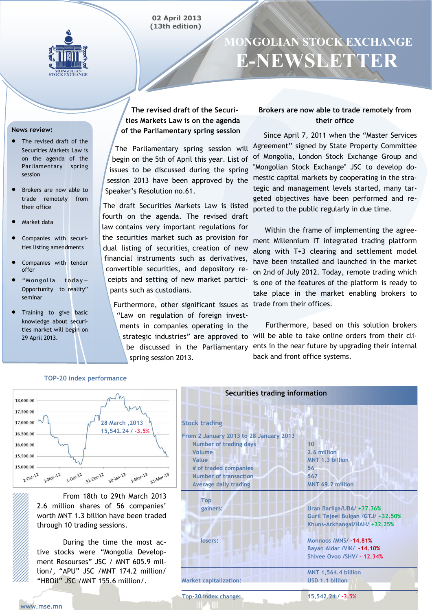#### **02 April 2013 (13th edition)**



# **MONGOLIAN STOCK EXCHANGE E-NEWSLETTER**

#### **News review:**

- The revised draft of the Securities Markets Law is on the agenda of the Parliamentary spring session
- Brokers are now able to trade remotely from their office
- Market data
- Companies with securities listing amendments
- Companies with tender offer
- "Mongolia today-Opportunity to reality" seminar
- Training to give basic knowledge about securities market will begin on 29 April 2013.

**The revised draft of the Securities Markets Law is on the agenda of the Parliamentary spring session**

The Parliamentary spring session will begin on the 5th of April this year. List of issues to be discussed during the spring session 2013 have been approved by the Speaker's Resolution no.61.

The draft Securities Markets Law is listed fourth on the agenda. The revised draft law contains very important regulations for the securities market such as provision for dual listing of securities, creation of new financial instruments such as derivatives, convertible securities, and depository receipts and setting of new market participants such as custodians.

Furthermore, other significant issues as trade from their offices. "Law on regulation of foreign investments in companies operating in the spring session 2013.

## **Brokers are now able to trade remotely from their office**

 Since April 7, 2011 when the "Master Services Agreement" signed by State Property Committee of Mongolia, London Stock Exchange Group and "Mongolian Stock Exchange" JSC to develop domestic capital markets by cooperating in the strategic and management levels started, many targeted objectives have been performed and reported to the public regularly in due time.

 Within the frame of implementing the agreement Millennium IT integrated trading platform along with T+3 clearing and settlement model have been installed and launched in the market on 2nd of July 2012. Today, remote trading which is one of the features of the platform is ready to take place in the market enabling brokers to

strategic industries" are approved to will be able to take online orders from their clibe discussed in the Parliamentary ents in the near future by upgrading their internal Furthermore, based on this solution brokers back and front office systems.

#### **Securities trading information** 18,000.00 17,500.00 17,000.00 **28 March ,2013 Stock trading 15,542.24 / -3.5%**16,500.00 **From 2 January 2013 to 28 January 2013 Number of trading days 10** 16.000.00  **Volume 2.6 million** 15,500.00  **Value MNT 1.3 billion** 15,000.00  **# of traded companies 56** 31-Dec-12 31-Mar-13 1-Nov-12  $1-$ Dec- $12$  $2 - 0ct - 12$  $30 - \frac{1}{2}$  $1 - Mar - 13$  **Number of transaction 567 MNT 69.2 million Average daily trading**  From 18th to 29th March 2013  **Top**  2.6 million shares of 56 companies' **Uran Barilga/UBA/ +37.36% gainers:** worth MNT 1.3 billion have been traded **Guril Tejeel Bulgan /GTJ/ +32.50% Khuns-Arkhangai/HAH/ +32.25%** through 10 trading sessions. **Monnoos /MNS/ –14.81% losers:** During the time the most ac-**Bayan Aldar /VIK/ –14.10%** tive stocks were "Mongolia Develop-**Shivee Ovoo /SHV/ - 12.34%** ment Resourses" JSC / MNT 605.9 million/, "APU" JSC /MNT 174.2 million/ **MNT 1,564.4 billion** "HBOil" JSC /MNT 155.6 million/. **Market capitalization: USD 1.1 billion Top-20 index change: 15,542.24 / -3.5% www.mse.mn**

#### **TOP-20 index performance**